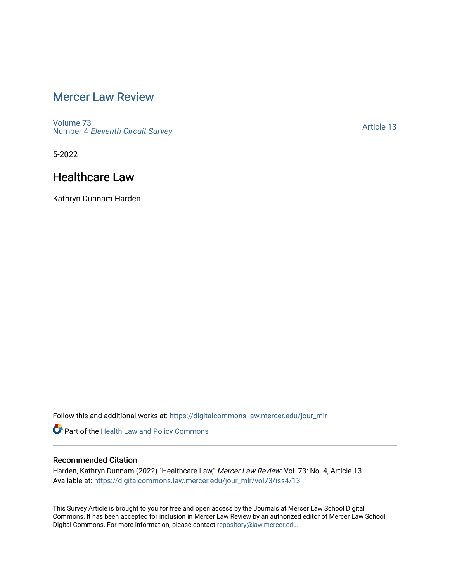# [Mercer Law Review](https://digitalcommons.law.mercer.edu/jour_mlr)

[Volume 73](https://digitalcommons.law.mercer.edu/jour_mlr/vol73) Number 4 [Eleventh Circuit Survey](https://digitalcommons.law.mercer.edu/jour_mlr/vol73/iss4) 

[Article 13](https://digitalcommons.law.mercer.edu/jour_mlr/vol73/iss4/13) 

5-2022

## Healthcare Law

Kathryn Dunnam Harden

Follow this and additional works at: [https://digitalcommons.law.mercer.edu/jour\\_mlr](https://digitalcommons.law.mercer.edu/jour_mlr?utm_source=digitalcommons.law.mercer.edu%2Fjour_mlr%2Fvol73%2Fiss4%2F13&utm_medium=PDF&utm_campaign=PDFCoverPages)

Part of the [Health Law and Policy Commons](https://network.bepress.com/hgg/discipline/901?utm_source=digitalcommons.law.mercer.edu%2Fjour_mlr%2Fvol73%2Fiss4%2F13&utm_medium=PDF&utm_campaign=PDFCoverPages) 

## Recommended Citation

Harden, Kathryn Dunnam (2022) "Healthcare Law," Mercer Law Review: Vol. 73: No. 4, Article 13. Available at: [https://digitalcommons.law.mercer.edu/jour\\_mlr/vol73/iss4/13](https://digitalcommons.law.mercer.edu/jour_mlr/vol73/iss4/13?utm_source=digitalcommons.law.mercer.edu%2Fjour_mlr%2Fvol73%2Fiss4%2F13&utm_medium=PDF&utm_campaign=PDFCoverPages) 

This Survey Article is brought to you for free and open access by the Journals at Mercer Law School Digital Commons. It has been accepted for inclusion in Mercer Law Review by an authorized editor of Mercer Law School Digital Commons. For more information, please contact [repository@law.mercer.edu](mailto:repository@law.mercer.edu).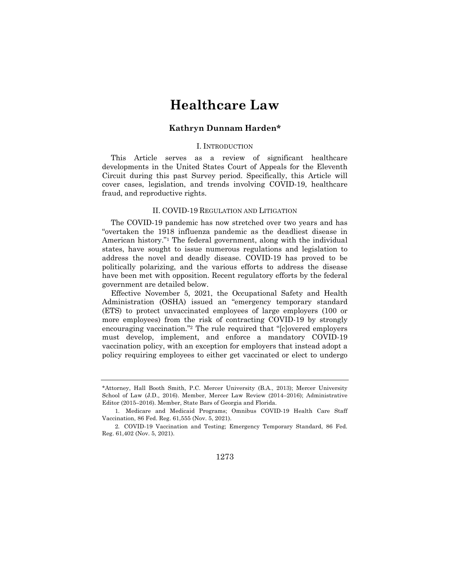# **Healthcare Law**

#### **Kathryn Dunnam Harden\***

#### I. INTRODUCTION

This Article serves as a review of significant healthcare developments in the United States Court of Appeals for the Eleventh Circuit during this past Survey period. Specifically, this Article will cover cases, legislation, and trends involving COVID-19, healthcare fraud, and reproductive rights.

#### II. COVID-19 REGULATION AND LITIGATION

The COVID-19 pandemic has now stretched over two years and has "overtaken the 1918 influenza pandemic as the deadliest disease in American history."1 The federal government, along with the individual states, have sought to issue numerous regulations and legislation to address the novel and deadly disease. COVID-19 has proved to be politically polarizing, and the various efforts to address the disease have been met with opposition. Recent regulatory efforts by the federal government are detailed below.

Effective November 5, 2021, the Occupational Safety and Health Administration (OSHA) issued an "emergency temporary standard (ETS) to protect unvaccinated employees of large employers (100 or more employees) from the risk of contracting COVID-19 by strongly encouraging vaccination."2 The rule required that "[c]overed employers must develop, implement, and enforce a mandatory COVID-19 vaccination policy, with an exception for employers that instead adopt a policy requiring employees to either get vaccinated or elect to undergo

1273

<sup>\*</sup>Attorney, Hall Booth Smith, P.C. Mercer University (B.A., 2013); Mercer University School of Law (J.D., 2016). Member, Mercer Law Review (2014–2016); Administrative Editor (2015–2016). Member, State Bars of Georgia and Florida.

<sup>1.</sup> Medicare and Medicaid Programs; Omnibus COVID-19 Health Care Staff Vaccination, 86 Fed. Reg. 61,555 (Nov. 5, 2021).

<sup>2.</sup> COVID-19 Vaccination and Testing; Emergency Temporary Standard, 86 Fed. Reg. 61,402 (Nov. 5, 2021).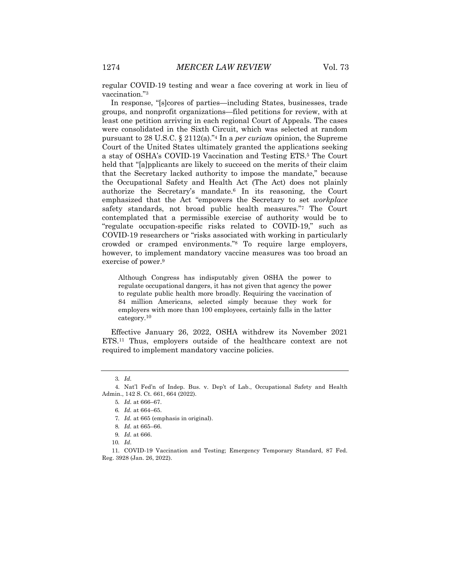regular COVID-19 testing and wear a face covering at work in lieu of vaccination."3

In response, "[s]cores of parties—including States, businesses, trade groups, and nonprofit organizations—filed petitions for review, with at least one petition arriving in each regional Court of Appeals. The cases were consolidated in the Sixth Circuit, which was selected at random pursuant to 28 U.S.C. § 2112(a)."4 In a *per curiam* opinion, the Supreme Court of the United States ultimately granted the applications seeking a stay of OSHA's COVID-19 Vaccination and Testing ETS.5 The Court held that "[a]pplicants are likely to succeed on the merits of their claim that the Secretary lacked authority to impose the mandate," because the Occupational Safety and Health Act (The Act) does not plainly authorize the Secretary's mandate.6 In its reasoning, the Court emphasized that the Act "empowers the Secretary to set *workplace* safety standards, not broad public health measures."7 The Court contemplated that a permissible exercise of authority would be to "regulate occupation-specific risks related to COVID-19," such as COVID-19 researchers or "risks associated with working in particularly crowded or cramped environments."8 To require large employers, however, to implement mandatory vaccine measures was too broad an exercise of power.9

Although Congress has indisputably given OSHA the power to regulate occupational dangers, it has not given that agency the power to regulate public health more broadly. Requiring the vaccination of 84 million Americans, selected simply because they work for employers with more than 100 employees, certainly falls in the latter category.10

Effective January 26, 2022, OSHA withdrew its November 2021 ETS.11 Thus, employers outside of the healthcare context are not required to implement mandatory vaccine policies.

<sup>3</sup>*. Id.*

<sup>4.</sup> Nat'l Fed'n of Indep. Bus. v. Dep't of Lab., Occupational Safety and Health Admin., 142 S. Ct. 661, 664 (2022).

<sup>5</sup>*. Id.* at 666–67.

<sup>6</sup>*. Id.* at 664–65.

<sup>7</sup>*. Id.* at 665 (emphasis in original).

<sup>8</sup>*. Id.* at 665–66.

<sup>9</sup>*. Id.* at 666.

<sup>10</sup>*. Id.*

<sup>11.</sup> COVID-19 Vaccination and Testing; Emergency Temporary Standard, 87 Fed. Reg. 3928 (Jan. 26, 2022).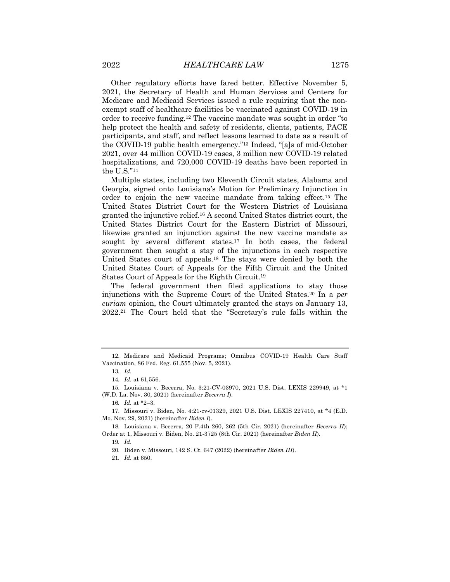Other regulatory efforts have fared better. Effective November 5, 2021, the Secretary of Health and Human Services and Centers for Medicare and Medicaid Services issued a rule requiring that the nonexempt staff of healthcare facilities be vaccinated against COVID-19 in order to receive funding.12 The vaccine mandate was sought in order "to help protect the health and safety of residents, clients, patients, PACE participants, and staff, and reflect lessons learned to date as a result of the COVID-19 public health emergency."13 Indeed, "[a]s of mid-October 2021, over 44 million COVID-19 cases, 3 million new COVID-19 related hospitalizations, and 720,000 COVID-19 deaths have been reported in the U.S."14

Multiple states, including two Eleventh Circuit states, Alabama and Georgia, signed onto Louisiana's Motion for Preliminary Injunction in order to enjoin the new vaccine mandate from taking effect.15 The United States District Court for the Western District of Louisiana granted the injunctive relief.16 A second United States district court, the United States District Court for the Eastern District of Missouri, likewise granted an injunction against the new vaccine mandate as sought by several different states.17 In both cases, the federal government then sought a stay of the injunctions in each respective United States court of appeals.18 The stays were denied by both the United States Court of Appeals for the Fifth Circuit and the United States Court of Appeals for the Eighth Circuit.19

The federal government then filed applications to stay those injunctions with the Supreme Court of the United States.20 In a *per curiam* opinion, the Court ultimately granted the stays on January 13, 2022.21 The Court held that the "Secretary's rule falls within the

19*. Id.*

<sup>12.</sup> Medicare and Medicaid Programs; Omnibus COVID-19 Health Care Staff Vaccination, 86 Fed. Reg. 61,555 (Nov. 5, 2021).

<sup>13</sup>*. Id.*

<sup>14</sup>*. Id.* at 61,556.

<sup>15.</sup> Louisiana v. Becerra, No. 3:21-CV-03970, 2021 U.S. Dist. LEXIS 229949, at \*1 (W.D. La. Nov. 30, 2021) (hereinafter *Becerra I*).

<sup>16</sup>*. Id.* at \*2–3.

<sup>17.</sup> Missouri v. Biden, No. 4:21-cv-01329, 2021 U.S. Dist. LEXIS 227410, at \*4 (E.D. Mo. Nov. 29, 2021) (hereinafter *Biden I*).

<sup>18.</sup> Louisiana v. Becerra, 20 F.4th 260, 262 (5th Cir. 2021) (hereinafter *Becerra II*); Order at 1, Missouri v. Biden, No. 21-3725 (8th Cir. 2021) (hereinafter *Biden II*).

<sup>20.</sup> Biden v. Missouri, 142 S. Ct. 647 (2022) (hereinafter *Biden III*).

<sup>21</sup>*. Id.* at 650.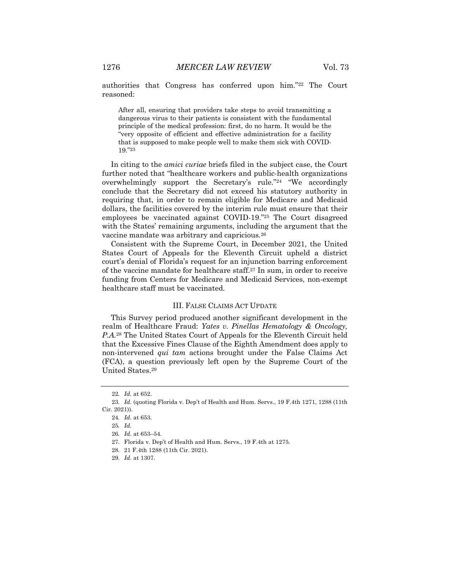authorities that Congress has conferred upon him."22 The Court reasoned:

After all, ensuring that providers take steps to avoid transmitting a dangerous virus to their patients is consistent with the fundamental principle of the medical profession: first, do no harm. It would be the "very opposite of efficient and effective administration for a facility that is supposed to make people well to make them sick with COVID-19."23

In citing to the *amici curiae* briefs filed in the subject case, the Court further noted that "healthcare workers and public-health organizations overwhelmingly support the Secretary's rule."24 "We accordingly conclude that the Secretary did not exceed his statutory authority in requiring that, in order to remain eligible for Medicare and Medicaid dollars, the facilities covered by the interim rule must ensure that their employees be vaccinated against COVID-19."25 The Court disagreed with the States' remaining arguments, including the argument that the vaccine mandate was arbitrary and capricious.26

Consistent with the Supreme Court, in December 2021, the United States Court of Appeals for the Eleventh Circuit upheld a district court's denial of Florida's request for an injunction barring enforcement of the vaccine mandate for healthcare staff.27 In sum, in order to receive funding from Centers for Medicare and Medicaid Services, non-exempt healthcare staff must be vaccinated.

### III. FALSE CLAIMS ACT UPDATE

This Survey period produced another significant development in the realm of Healthcare Fraud: *Yates v. Pinellas Hematology & Oncology, P.A.*<sup>28</sup> The United States Court of Appeals for the Eleventh Circuit held that the Excessive Fines Clause of the Eighth Amendment does apply to non-intervened *qui tam* actions brought under the False Claims Act (FCA), a question previously left open by the Supreme Court of the United States.29

<sup>22</sup>*. Id.* at 652.

<sup>23</sup>*. Id.* (quoting Florida v. Dep't of Health and Hum. Servs., 19 F.4th 1271, 1288 (11th Cir. 2021)).

<sup>24</sup>*. Id.* at 653.

<sup>25</sup>*. Id.*

<sup>26</sup>*. Id.* at 653–54.

<sup>27.</sup> Florida v. Dep't of Health and Hum. Servs., 19 F.4th at 1275.

<sup>28.</sup> 21 F.4th 1288 (11th Cir. 2021).

<sup>29</sup>*. Id.* at 1307.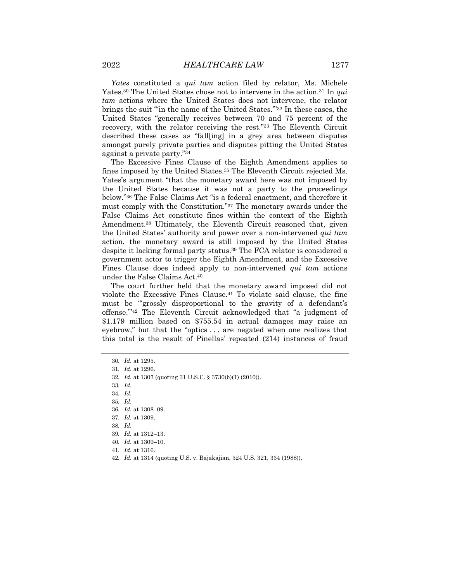*Yates* constituted a *qui tam* action filed by relator, Ms. Michele Yates.30 The United States chose not to intervene in the action.31 In *qui tam* actions where the United States does not intervene, the relator brings the suit "'in the name of the United States.'"32 In these cases, the United States "generally receives between 70 and 75 percent of the recovery, with the relator receiving the rest."33 The Eleventh Circuit described these cases as "fall[ing] in a grey area between disputes amongst purely private parties and disputes pitting the United States against a private party."34

The Excessive Fines Clause of the Eighth Amendment applies to fines imposed by the United States.35 The Eleventh Circuit rejected Ms. Yates's argument "that the monetary award here was not imposed by the United States because it was not a party to the proceedings below."36 The False Claims Act "is a federal enactment, and therefore it must comply with the Constitution."37 The monetary awards under the False Claims Act constitute fines within the context of the Eighth Amendment.38 Ultimately, the Eleventh Circuit reasoned that, given the United States' authority and power over a non-intervened *qui tam* action, the monetary award is still imposed by the United States despite it lacking formal party status.39 The FCA relator is considered a government actor to trigger the Eighth Amendment, and the Excessive Fines Clause does indeed apply to non-intervened *qui tam* actions under the False Claims Act.40

The court further held that the monetary award imposed did not violate the Excessive Fines Clause.41 To violate said clause, the fine must be "grossly disproportional to the gravity of a defendant's offense.'"42 The Eleventh Circuit acknowledged that "a judgment of \$1.179 million based on \$755.54 in actual damages may raise an eyebrow," but that the "optics . . . are negated when one realizes that this total is the result of Pinellas' repeated (214) instances of fraud

- 32*. Id.* at 1307 (quoting 31 U.S.C. § 3730(b)(1) (2010)).
- 33*. Id.*

35*. Id.*

- 38*. Id.*
- 39*. Id.* at 1312–13.
- 40*. Id.* at 1309–10.
- 41*. Id.* at 1316.
- 42*. Id.* at 1314 (quoting U.S. v. Bajakajian, 524 U.S. 321, 334 (1988)).

<sup>30</sup>*. Id.* at 1295.

<sup>31</sup>*. Id.* at 1296.

<sup>34</sup>*. Id.*

<sup>36</sup>*. Id.* at 1308–09.

<sup>37</sup>*. Id.* at 1309.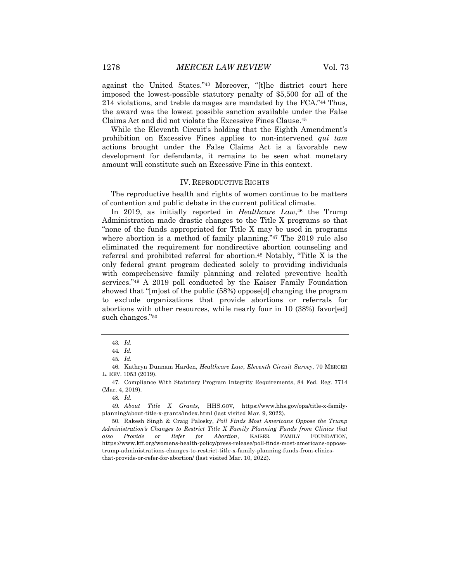against the United States."43 Moreover, "[t]he district court here imposed the lowest-possible statutory penalty of \$5,500 for all of the 214 violations, and treble damages are mandated by the FCA."44 Thus, the award was the lowest possible sanction available under the False Claims Act and did not violate the Excessive Fines Clause.45

While the Eleventh Circuit's holding that the Eighth Amendment's prohibition on Excessive Fines applies to non-intervened *qui tam* actions brought under the False Claims Act is a favorable new development for defendants, it remains to be seen what monetary amount will constitute such an Excessive Fine in this context.

#### IV. REPRODUCTIVE RIGHTS

The reproductive health and rights of women continue to be matters of contention and public debate in the current political climate.

In 2019, as initially reported in *Healthcare Law*,<sup>46</sup> the Trump Administration made drastic changes to the Title X programs so that "none of the funds appropriated for Title X may be used in programs where abortion is a method of family planning."<sup>47</sup> The 2019 rule also eliminated the requirement for nondirective abortion counseling and referral and prohibited referral for abortion.<sup>48</sup> Notably, "Title X is the only federal grant program dedicated solely to providing individuals with comprehensive family planning and related preventive health services."49 A 2019 poll conducted by the Kaiser Family Foundation showed that "[m]ost of the public (58%) oppose[d] changing the program to exclude organizations that provide abortions or referrals for abortions with other resources, while nearly four in 10 (38%) favor[ed] such changes."50

47. Compliance With Statutory Program Integrity Requirements, 84 Fed. Reg. 7714 (Mar. 4, 2019).

48*. Id.*

49*. About Title X Grants*, HHS.GOV, https://www.hhs.gov/opa/title-x-familyplanning/about-title-x-grants/index.html (last visited Mar. 9, 2022).

<sup>43</sup>*. Id.*

<sup>44</sup>*. Id.*

<sup>45</sup>*. Id.*

<sup>46.</sup> Kathryn Dunnam Harden, *Healthcare Law*, *Eleventh Circuit Survey*, 70 MERCER L. REV. 1053 (2019).

<sup>50.</sup> Rakesh Singh & Craig Palosky, *Poll Finds Most Americans Oppose the Trump Administration's Changes to Restrict Title X Family Planning Funds from Clinics that also Provide or Refer for Abortion*, KAISER FAMILY FOUNDATION, https://www.kff.org/womens-health-policy/press-release/poll-finds-most-americans-opposetrump-administrations-changes-to-restrict-title-x-family-planning-funds-from-clinicsthat-provide-or-refer-for-abortion/ (last visited Mar. 10, 2022).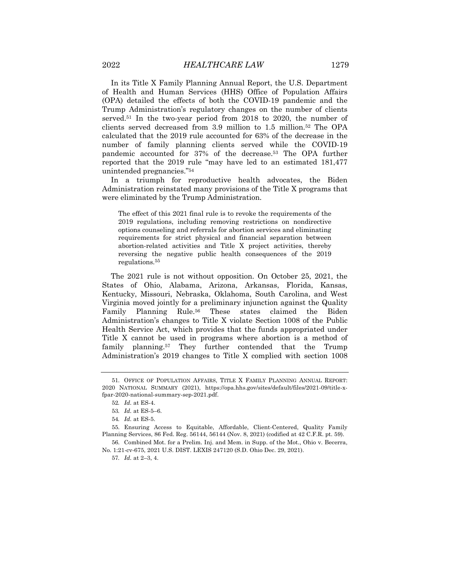In its Title X Family Planning Annual Report, the U.S. Department of Health and Human Services (HHS) Office of Population Affairs (OPA) detailed the effects of both the COVID-19 pandemic and the Trump Administration's regulatory changes on the number of clients served.51 In the two-year period from 2018 to 2020, the number of clients served decreased from 3.9 million to 1.5 million.52 The OPA calculated that the 2019 rule accounted for 63% of the decrease in the number of family planning clients served while the COVID-19 pandemic accounted for 37% of the decrease.53 The OPA further reported that the 2019 rule "may have led to an estimated 181,477 unintended pregnancies."54

In a triumph for reproductive health advocates, the Biden Administration reinstated many provisions of the Title X programs that were eliminated by the Trump Administration.

The effect of this 2021 final rule is to revoke the requirements of the 2019 regulations, including removing restrictions on nondirective options counseling and referrals for abortion services and eliminating requirements for strict physical and financial separation between abortion-related activities and Title X project activities, thereby reversing the negative public health consequences of the 2019 regulations.55

The 2021 rule is not without opposition. On October 25, 2021, the States of Ohio, Alabama, Arizona, Arkansas, Florida, Kansas, Kentucky, Missouri, Nebraska, Oklahoma, South Carolina, and West Virginia moved jointly for a preliminary injunction against the Quality Family Planning Rule.<sup>56</sup> These states claimed the Biden Administration's changes to Title X violate Section 1008 of the Public Health Service Act, which provides that the funds appropriated under Title X cannot be used in programs where abortion is a method of family planning.57 They further contended that the Trump Administration's 2019 changes to Title X complied with section 1008

<sup>51.</sup> OFFICE OF POPULATION AFFAIRS, TITLE X FAMILY PLANNING ANNUAL REPORT: 2020 NATIONAL SUMMARY (2021), https://opa.hhs.gov/sites/default/files/2021-09/title-xfpar-2020-national-summary-sep-2021.pdf.

<sup>52</sup>*. Id.* at ES-4.

<sup>53</sup>*. Id.* at ES-5–6.

<sup>54</sup>*. Id.* at ES-5.

<sup>55.</sup> Ensuring Access to Equitable, Affordable, Client-Centered, Quality Family Planning Services, 86 Fed. Reg. 56144, 56144 (Nov. 8, 2021) (codified at 42 C.F.R. pt. 59). 56. Combined Mot. for a Prelim. Inj. and Mem. in Supp. of the Mot., Ohio v. Becerra,

No. 1:21-cv-675, 2021 U.S. DIST. LEXIS 247120 (S.D. Ohio Dec. 29, 2021).

<sup>57</sup>*. Id.* at 2–3, 4.